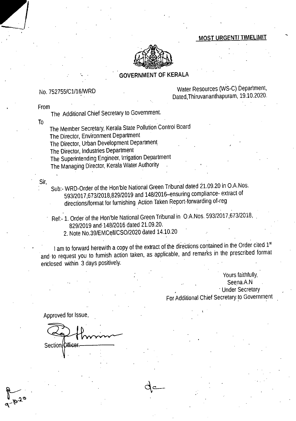# MOST URGENT! TIMELIMIT



# **GOVERNMENT OF KERALA**

No. 752755/C1/16/WRD Water Resources (WS-C) Department, Dated, Thiruvananthapuram, 19.10.2020.

From

The Additional Chief Secretary to Government.

To

The Member Secretary, Kerala State Pollution Control Board The Director, Environment Department The Director, Urban Development Department The Director, Industries Department The superintending Engineer, Irrigation Department The Managing Director, Kerala Water Authority

Sir,

Sub:- WRD-Order of the Hon'ble National Green Tribunal dated 21.09.20 in O.A.Nos. 59312017,673/2018,829/2019 and 148/2016—ensuring compliance- extract of directions/format for furnishing Action Taken Report-forwarding of-reg

Ref:: 1. Order of the Hon'ble National Green Tribunal in O:A.Nos. 593/2017,673/2018, 829/2019 and'148/2016 dated 21,09,20.

2. Note No.39/EMCell/CSO/2020 dated 14.10.20

I am to forward herewith a copy of the extract of the directions contained in the Order cited  $1<sup>st</sup>$ and to request you to furnish action taken, as applicable, and remarks in the prescribed format enclosed within 3 days positively.

> Yours faithfully, Seena.A.N Under Secretary For Additional Chief Secretary to Government

Approved for Issue,

Section Difficer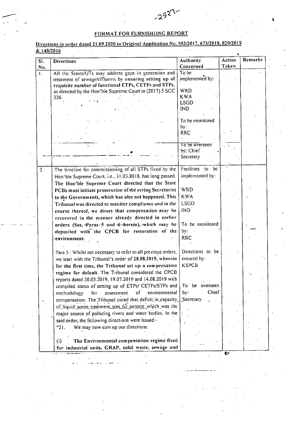# FORMAT FOR FURNISHIING REPORT

 $-2527$ 

### Directions in order dated 21.09.2020 in Original Application No. 593/2017, 673/2018. 829/2019 & 148/2016  $\mathbb{Z}^2$  $\mathcal{L}$ **t**.

| SI.<br>No. | <b>Directions</b>                                              | <b>Authority</b><br>Concerned | Action<br>Taken | Remarks |
|------------|----------------------------------------------------------------|-------------------------------|-----------------|---------|
| 4.         | All the States/UTs may address gaps in generation and          | To be                         |                 |         |
|            | treatment of sewage/effluents by ensuring setting up of        | implemented by:               |                 |         |
|            | requisite number of functional ETPs, CETPs and STPs,           |                               |                 |         |
|            | as directed by the Hon'ble Supreme Court in (2017) 5 SCC       | <b>WRD</b>                    |                 |         |
|            | 326.                                                           | <b>KWA</b>                    |                 |         |
|            |                                                                | <b>LSGD</b>                   |                 |         |
|            |                                                                | IND                           |                 |         |
|            |                                                                |                               |                 |         |
|            |                                                                | To be monitored               |                 |         |
|            |                                                                | by:                           |                 |         |
|            |                                                                | <b>RRC</b>                    |                 |         |
|            |                                                                |                               |                 |         |
|            |                                                                | To be overseen                |                 |         |
|            |                                                                | by: Chief                     |                 |         |
|            |                                                                | Secretary                     |                 |         |
|            |                                                                |                               |                 |         |
|            |                                                                | Facilities to<br>bc           |                 |         |
| 2.         | The timeline for commissioning of all STPs fixed by the        |                               |                 |         |
|            | Hon'ble Supreme Court, i.e., 31.03.2018, has long passed.      | implemented by:               |                 |         |
|            | The Hon'ble Supreme Court directed that the State              |                               |                 |         |
|            | PCBs must initiate prosecution of the erring Secretaries       | <b>WRD</b>                    |                 |         |
|            | to the Governments, which has also not happened. This          | <b>KWA</b>                    |                 |         |
|            | Tribunal was directed to monitor compliance and in the         | <b>LSGD</b>                   |                 |         |
|            |                                                                | IND.                          |                 |         |
|            | course thereof, we direct that compensation may be             |                               |                 |         |
|            | recovered in the manner already directed in earlier            |                               |                 |         |
|            | orders (See, -Paras-5 and -6-herein), -which may be            | To be monitored               |                 |         |
|            | deposited with the CPCB for restoration of the                 | by:                           |                 |         |
|            | -environment                                                   | <b>RRC</b>                    |                 |         |
|            |                                                                |                               |                 |         |
|            | Para 5 : Whilst not necessary to refer to all previous orders. | Directions to be              |                 |         |
|            |                                                                |                               |                 |         |
|            | we start with the Tribunal's order of 28.08.2019, wherein      | ensured by:                   |                 |         |
|            | for the first time, the Tribunal set up a compensation         | <b>KSPCB</b>                  |                 |         |
|            | regime for default. The Tribunal considered the CPCB           |                               |                 |         |
|            | reports dated 30.05.2019, 19.07.2019 and 14.08.2019 with       |                               |                 |         |
|            | compiled status of setting up of ETPs/ CETPs/STPs and          | To be overseen                |                 |         |
|            | environmental<br>∙of<br>assessment<br>methodology<br>for       | Chief<br>by:                  |                 |         |
|            |                                                                | Secretary                     |                 |         |
|            | compensation. The Tribunal noted that deficit in capacity      |                               |                 |         |
|            | of liquid waste treatment was 62 percent which was the         |                               |                 |         |
|            | major source of polluting rivers and water bodies. In the      |                               |                 |         |
|            | said order, the following directions were issued:-             |                               |                 |         |
|            | We may now sum up our directions:<br>"21.                      |                               |                 |         |
|            |                                                                |                               |                 |         |
|            |                                                                |                               |                 |         |
|            | The Environmental compensation regime fixed<br>(i)             |                               |                 |         |
|            | for industrial units, GRAP, solid waste, sewage and            |                               |                 |         |
|            |                                                                |                               | €,              |         |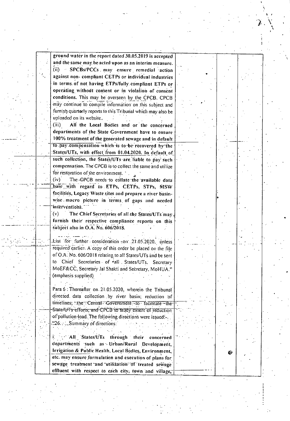ground water in the report dated 30.05.2019 is accepted and the same may be acted upon as an interim measure. (ii) SPCBs/PCCs may ensure remedial action against non- compliant CETPs or individual industries in terms of not having ETPs/fully compliant ETPs or operating without consent or in violation of consent conditions. This may be overseen by the CPCB. CPCB may continue to compile information on this subject and furnish quarterly reports to this Tribunal which may also be uploaded on its website..

 $(iii)$ All the Local Bodies and or the concerned departments of the State Government have to ensure 100% treatment of the generated sewage and in default to pay-compensation which is to be recovered by the States/UTs, with effect from 01.04.2020. In default of such collection, the States/UTs are liable to pay such compensation. The CPCB is to collect the same and utilize for restoration of the environment.

The -GPCB needs to collate the available data  $(iv)$ base with regard to ETPs, CETPs, STPs, MSW facilities, Legacy Waste sites and prepare a river basinwise macro picture in terms of gaps and needed interventions.

 $(v)$ The Chief Secretaries of all the States/UTs may. furnish their respective compliance reports on this subject also in O.A. No. 606/2018.

List for further consideration con: 21.05.2020, unless required earlier. A copy of this order be placed on the file of O.A. No. 606/2018 relating to all States/UTs and be sent to Chief Secretaries of all States/UTs. Secretary MoEF&CC, Secretary Jal Shakti and Secretary, MoHUA." (emphasis supplied)

Para 6 : Thereafter on 21.05.2020, wherein the Tribunal directed data collection by river basin; reduction of timelines; the Central Government-to facilitate the State/UTs-efforts; and CPCB to study extent of reduction of pollution load. The following directions were issued:  $26.4.$  Summary of directions:

i and States/UTs through their concerned departments such as Urban/Rural Development, Irrigation & Public Health, Local Bodies, Environment, etc. may ensure formulation and execution of plans for sewage treatment and utilization of treated sewage effluent with respect to each city, town and village,

Ë.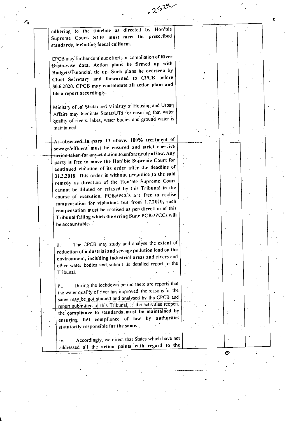adhering to the timelinc as directed by Hon'ble Supreme Court. STPs must meet the prescribed standards, including faecal coliform.

 $-2529$ 

C

CPCB may further continue efforts on compilation of River 'Basin-wise data. Action plans be firmed up with Budgets/Financial tie up. Such plans be overseen by Chief Seèretary and forwarded to CPCB before 30.6.2020. CPCB may consolidate all action plans and file a report accordingly.

Ministry of Jal Shakti and Ministry of Housing and Urbaq Affairs may facilitate States/UTs for ensuring that water quality of rivers, lakes, water bodies and ground water is maintained. -

As observed in para 13 above, 100% treatment of sewage/effluent must be ensured and strict coercive action-taken-for any-violation to enforce rule of law. Any party is free to move the Hon'ble Supreme Court for continued vidlation of its order after the deadline of 31.3.2018. This order is without prejudice to the said remedy as direction of the Hon'ble Supreme Court cannot be diluted or relaxed by this Tribunal in the course of execution. PCBs/PCCs are free to realise compensation for violations but from 1.7.2020, such compensation must be realised as per direction of this Tribunal failing which the erring State PCBs/PCCS will be accountable.

ii. The CPCB may study and analyse the extent of reduction of industrial and sewage pollution load on the environment, including industrial areas and rivers and other water bodies and, submit its detailed report to the Tribunal.

During the lockdown period there are reports that iii. the water quality of river has improved, the reasons for the same may be got studied and analysed by the CPCB and report submitted to this Tribuñal. If the activities reopen, the' compliance to standards. must be maintained by ensuring full compliance of law by authorities statutorily responsible for the same.

Accordingly, we direct that Slates which have not iv. addressed all the action points with regard to the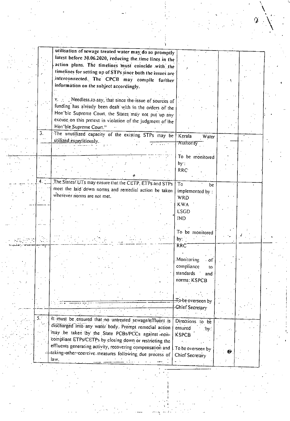|      | utilisation of sewage treated water may do so promptly     |                        |   |  |
|------|------------------------------------------------------------|------------------------|---|--|
|      | latest before 30.06.2020, reducing the time lines in the   |                        |   |  |
|      | action plans. The timelines must coincide with the         |                        |   |  |
|      |                                                            |                        |   |  |
|      | timelines for setting up of STPs since both the issues are |                        |   |  |
|      | interconnected. The CPCB may compile further               |                        |   |  |
|      | information on the subject accordingly.                    |                        |   |  |
|      |                                                            |                        |   |  |
|      |                                                            |                        |   |  |
|      | Needless to say, that since the issue of sources of        |                        |   |  |
|      | funding has already been dealt with in the orders of the   |                        |   |  |
|      | Hon'ble Supreme Court, the States may not put up any       |                        |   |  |
|      |                                                            |                        |   |  |
|      | excuse on this pretext in violation of the judgment of the |                        |   |  |
|      | Hon'ble Supreme Court."                                    |                        |   |  |
| З.   | The unutilized capacity of the existing STPs may be        | Kerala                 |   |  |
|      | utilized expeditiously.                                    | Water                  |   |  |
|      |                                                            | Authority              |   |  |
|      |                                                            |                        |   |  |
|      |                                                            | To be monitored        |   |  |
|      |                                                            |                        |   |  |
|      |                                                            | by:                    |   |  |
|      |                                                            | <b>RRC</b>             |   |  |
|      |                                                            |                        |   |  |
|      | The States/ UTs may ensure that the CETP, ETPs and STPs    | To                     |   |  |
|      | meet the laid down norms and remedial action be taken      | be                     |   |  |
|      |                                                            | implemented by:        |   |  |
|      | wherever norms are not met.                                | <b>WRD</b>             |   |  |
|      |                                                            | <b>KWA</b>             |   |  |
|      |                                                            | <b>LSGD</b>            |   |  |
|      |                                                            |                        |   |  |
|      |                                                            | <b>IND</b>             |   |  |
|      |                                                            |                        |   |  |
|      |                                                            | To be monitored        |   |  |
|      |                                                            |                        |   |  |
|      |                                                            | by:                    |   |  |
|      |                                                            | RRC                    |   |  |
|      |                                                            |                        |   |  |
|      |                                                            | Monitoring<br>- of     |   |  |
|      |                                                            |                        |   |  |
|      |                                                            | compliance<br>10       |   |  |
|      |                                                            | standards<br>and       |   |  |
|      |                                                            | norms: KSPCB           |   |  |
|      |                                                            |                        |   |  |
|      |                                                            |                        |   |  |
|      |                                                            |                        |   |  |
|      |                                                            | Fo-be overseen by      |   |  |
|      |                                                            | <b>Chief Secretary</b> |   |  |
|      |                                                            |                        |   |  |
| 5. S | It must be ensured that no untreated sewage/effluent is    |                        |   |  |
|      |                                                            | Directions to be       |   |  |
|      | discharged into any water body. Prompt remedial action     | ensured<br>by:         |   |  |
|      | may be taken by the State PCBs/PCCs against -non-          | <b>KSPCB</b>           |   |  |
|      | compliant ETPs/CETPs by closing down or restricting the    |                        |   |  |
|      | effluents generating activity, recovering compensation and |                        |   |  |
|      |                                                            | To be overseen by      | ❸ |  |
|      | -taking-other-coercive measures following due process of   | Chief Secretary        |   |  |
|      | law.                                                       |                        |   |  |
|      |                                                            |                        |   |  |

 $\alpha$ 

an<br>M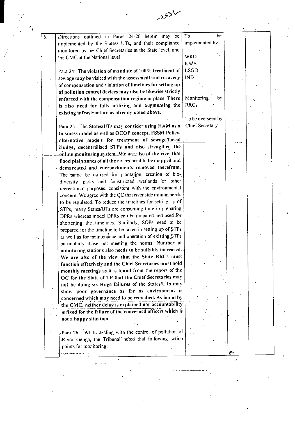

 $-251$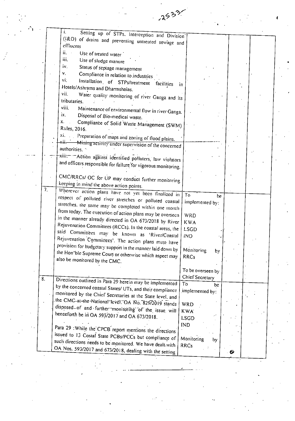|    | 2533                                                                 |                        |   |  |
|----|----------------------------------------------------------------------|------------------------|---|--|
|    |                                                                      |                        |   |  |
|    | Setting up of STPs. Interception and Division                        |                        |   |  |
|    | ([&D) of drains and preventing untreated sewage and<br>effluents     |                        |   |  |
|    |                                                                      |                        |   |  |
|    | ii.<br>Use of treated water                                          |                        |   |  |
|    | Ħ.<br>Use of sludge manure                                           |                        |   |  |
|    | i۷.<br>Status of septage management                                  |                        |   |  |
|    | ٧.<br>Compliance in relation to industries                           |                        |   |  |
|    | vi:<br>Installation of STPs/treatment facilities                     |                        |   |  |
|    | Hotels/Ashrams and Dharmshalas.                                      | 1 <sub>n</sub>         |   |  |
|    | vii.                                                                 |                        |   |  |
|    | Water quality monitoring of river Ganga and its<br>tributaries.      |                        |   |  |
|    | viii.                                                                |                        |   |  |
|    | Maintenance of environmental flow in river Ganga.<br>ix.             |                        |   |  |
|    | Disposal of Bio-medical waste.                                       |                        |   |  |
|    | х.<br>Compliance of Solid Waste Management (SWM)                     |                        |   |  |
|    | Rules, 2016.                                                         |                        |   |  |
|    | Xi, and<br>Preparation of maps and zoning of flood plains.           |                        |   |  |
|    | $\chi_{11,-}$<br>-Mining activity under supervision of the concerned |                        |   |  |
|    | authorities.                                                         |                        |   |  |
|    | xiii: - Action against identified polluters, law violators           |                        |   |  |
|    |                                                                      |                        |   |  |
|    | and officers responsible for failure for vigorous monitoring.        |                        |   |  |
|    |                                                                      |                        |   |  |
|    | CMC/RRCs/ OC for UP may conduct further monitoring                   |                        |   |  |
|    | keeping in mind the above action points.                             |                        |   |  |
| 7. | Wherever action plans have not yet been finalized in                 | T <sub>0</sub>         |   |  |
|    | respect of polluted river stretches or polluted coastal              | be.                    |   |  |
|    | stretches, the same may be completed within one month                | implemented by:        |   |  |
|    | from today. The execution of action plans may be overseen            |                        |   |  |
|    | in the manner already directed in OA 673/2018 by River               | <b>WRD</b>             |   |  |
|    | Rejuvenation Committees (RCCs). In the coastal areas, the            | <b>KWA</b>             |   |  |
|    |                                                                      | <b>LSGD</b>            |   |  |
|    | said Committees may be known as 'River/Coastal                       | <b>IND</b>             |   |  |
|    | Rejuvenation Committees'. The action plans must have                 |                        |   |  |
|    | provision for budgetary support in the manner laid down by           | Monitoring<br>by       |   |  |
|    | the Hon'ble Supreme Court or otherwise which aspect may              | <b>RRCs</b>            |   |  |
|    | also be monitored by the CMC.                                        |                        |   |  |
|    |                                                                      |                        |   |  |
|    |                                                                      | To be overseen by      |   |  |
| 8. | Directions outlined in Para 29 herein may be implemented             | <b>Chief Secretary</b> |   |  |
|    | by the concerned coastal States/ UTs, and their compliance           | To<br>be               |   |  |
|    |                                                                      | implemented by:        |   |  |
|    | monitored by the Chief Secretaries at the State level, and           |                        |   |  |
|    | the CMC-at-the National level. OA No. 829/2019 stands                | WRD                    |   |  |
|    | disposed of and further monitoring of the issue will                 | KWA <sup>-</sup>       |   |  |
|    | henceforth be in OA 593/2017 and OA 673/2018.                        | <b>LSGD</b>            |   |  |
|    |                                                                      | <b>IND</b>             |   |  |
|    | Para 29 : While the CPCB report mentions the directions              |                        |   |  |
|    | issued to 13 Costal State PCBs/PCCs but compliance of                |                        |   |  |
|    | such directions needs to be monitored. We have dealt with            | Monitoring<br>by       |   |  |
|    | OA Nos. 593/2017 and 673/2018, dealing with the setting              | <b>RRCs</b>            |   |  |
|    |                                                                      |                        | O |  |

 $\label{eq:2.1} \frac{\partial \mathcal{L}_{\mathcal{A}}}{\partial \mathcal{L}_{\mathcal{A}}}\left(\mathcal{L}_{\mathcal{A}}\right) = \frac{1}{2} \left( \mathcal{L}_{\mathcal{A}}\right) \left( \mathcal{L}_{\mathcal{A}}\right) \left( \mathcal{L}_{\mathcal{A}}\right) \left( \mathcal{L}_{\mathcal{A}}\right)$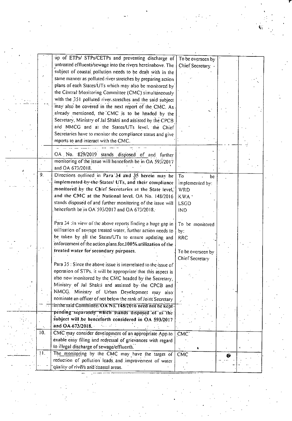|                  | up of ETPs/ STPs/CETPs and preventing discharge of              | To be overseen by      |   |  |
|------------------|-----------------------------------------------------------------|------------------------|---|--|
|                  | untreated effluents/sewage into the rivers hereinabove. The     | Chief Secretary .      |   |  |
|                  | subject of coastal pollution needs to be dealt with in the      |                        |   |  |
|                  | same manner as polluted river stretches by preparing action     |                        |   |  |
|                  | plans of each States/UTs which may also be monitored by         |                        |   |  |
|                  | the Central Monitoring Committee (CMC) simultaneously           |                        |   |  |
|                  |                                                                 |                        |   |  |
|                  | with the 351 polluted river stretches and the said subject      |                        |   |  |
|                  | may also be covered in the next report of the CMC. As           |                        |   |  |
|                  | already mentioned, the CMC is to be headed by the               |                        |   |  |
|                  | Secretary, Ministry of Jal Shakti and assisted by the CPCB      |                        |   |  |
|                  | and NMCG and at the States/UTs level, the Chief                 |                        |   |  |
|                  | Secretaries have to monitor the compliance status and give      |                        |   |  |
|                  | reports to and interact with the CMC.                           |                        |   |  |
|                  |                                                                 |                        |   |  |
|                  | OA No. 829/2019 stands disposed of and further                  |                        |   |  |
|                  | monitoring of the issue will henceforth be in OA 593/2017       |                        |   |  |
|                  | and OA 673/2018.                                                |                        |   |  |
| $\overline{9}$ . | Directions outlined in Para 34 and 35 herein may be             | To<br>be               |   |  |
|                  | implemented by the States/ UTs, and their compliance            | implemented by:        |   |  |
|                  | monitored by the Chief Secretaries at the State level,          | <b>WRD</b>             |   |  |
|                  | and the CMC at the National level. OA No. 148/2016              | KWA <sup>.</sup>       |   |  |
|                  | stands disposed of and further monitoring of the issue will     | <b>LSGD</b>            |   |  |
|                  | henceforth be in OA 593/2017 and OA 673/2018.                   | <b>IND</b>             |   |  |
|                  |                                                                 |                        |   |  |
|                  | Para 34 : In view of the above reports finding a huge gap in    | To be monitored        |   |  |
|                  | utilisation of sewage treated water, further action needs to    | by:                    |   |  |
|                  | be taken by all the States/UTs to ensure updating and           | <b>RRC</b>             |   |  |
|                  | enforcement of the action plans for 100% utilization of the     |                        |   |  |
|                  | treated water for secondary purposes.                           | To be overseen by      |   |  |
|                  |                                                                 |                        |   |  |
|                  | Para 35 : Since the above issue is interrelated to the issue of | <b>Chief Secretary</b> |   |  |
|                  | operation of STPs, it will be appropriate that this aspect is   |                        |   |  |
|                  | also now monitored by the CMC headed by the Secretary,          |                        |   |  |
|                  |                                                                 |                        |   |  |
|                  | Ministry of Jal Shakti and assisted by the CPCB and             |                        |   |  |
|                  | NMCG. Ministry of Urban Development may also                    |                        |   |  |
|                  | nominate an officer of not below the rank of Joint Secretary    |                        |   |  |
|                  | in the said Committee. OA No. 148/2016 need not be kept-        |                        |   |  |
|                  | pending separately which stands disposed of as the              |                        |   |  |
|                  | subject will be henceforth considered in OA 593/2017            |                        |   |  |
|                  | and OA-673/2018.                                                |                        |   |  |
| 10.              | CMC may consider development of an appropriate App to           | <b>CMC</b>             |   |  |
|                  | enable easy filing and redressal of grievances with regard      |                        |   |  |
|                  | to illegal discharge of sewage/effluents.                       |                        |   |  |
| 11.              | The monitoring by the CMC may have the target of                | CMC                    | 0 |  |
|                  | reduction of pollution loads and improvement of water           |                        |   |  |
|                  | quality of rivers and coastal areas.                            |                        |   |  |
|                  |                                                                 |                        |   |  |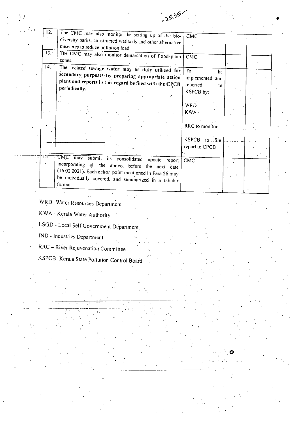| . . | 12.  | The CMC may also monitor the setting up of the bio-                                                                                                                                                                                   | <b>CMC</b>                                                 |  |  |
|-----|------|---------------------------------------------------------------------------------------------------------------------------------------------------------------------------------------------------------------------------------------|------------------------------------------------------------|--|--|
|     |      | diversity parks, constructed wetlands and other alternative<br>measures to reduce pollution load.                                                                                                                                     |                                                            |  |  |
|     | 13.7 | The CMC may also monitor demarcation of flood-plain<br>zones.                                                                                                                                                                         | <b>CMC</b>                                                 |  |  |
|     | 14.  | The treated sewage water may be duly utilized for<br>secondary purposes by preparing appropriate action<br>plans and reports in this regard be filed with the CPCB<br>periodically.                                                   | To<br>be<br>implemented and<br>reported<br>to<br>KSPCB by: |  |  |
|     |      |                                                                                                                                                                                                                                       | WRD<br><b>KWA</b><br>RRC to monitor                        |  |  |
|     |      |                                                                                                                                                                                                                                       | KSPCB_to_file<br>report to CPCB                            |  |  |
|     | 15.  | CMC may submit its consolidated update<br>report<br>incorporating all the above, before the next date.<br>(16.02.2021). Each action point mentioned in Para 26 may<br>be individually covered, and summarized in a tabular<br>format. | CM <sub>C</sub>                                            |  |  |

 $535$ 

WRD -Water Resources Department

KWA - Kerala Water Authority

LSGD - Local Self Government Department

IND - Industries Department

RRC - River Rejuvenation Committee

KSPCB- Kerala State Pollution Control Board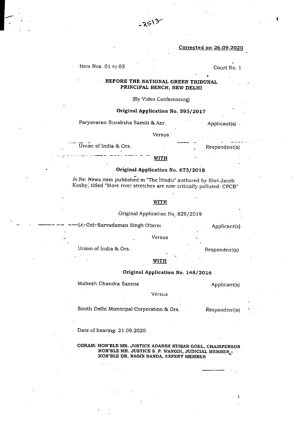$-351^{37}$ <br>Corrected on 26.09.2020 Corrected on 26.09.2020

Item Nos. 01 to 03 Court No. 1

# BEFORE THE NATIONAL GREEN TRIBUNAL **PRINCIPAL BENCH, NEW DELHI**

## (By Video Conferencing)

Original Application No. 593/2017

Paryavaran Suraksha Samiti & Anr. (Applicant(s)

Versus

Union of India & Ors.

 $WITH$ 

# **Original** Application No. 673/2018

 $\hat{In}$  Re: News item published in "The Hindu" authored by Shri Jacob Koshy, titled "More river stretches are now critically polluted: CPCB"

## **WITH**

Original Application No: 829/2019

-Lt.-Col-Sarvadaman Singh Oberoi . . . . . . . . . . Applicant(s)

. Respondent(s)

. Respondent(s)

Union of India & Ors.

WITH

Versus

# Original Application No. 148/2016

Mahesh Chandra Saxena Applicant(s)

Versus

South Delhi Municipal Corporation & Ors. Respondent(s)

I

Date of hearing: 21.09.2020

CORAM: HON'BLE MR. JUSTICE ADARSH KUMAR GOEL, CHAIRPERSON HON'BLE MR. JUSTICE S. P. WANGDI, JUDICIAL MEMBERS HON'BLE DR. NAGIN NANDA, EXPERT MEMBER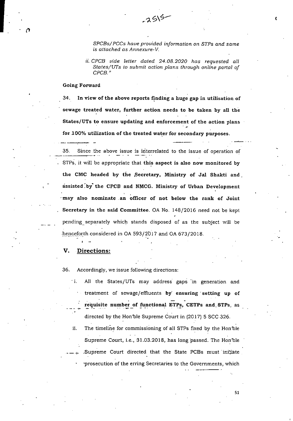*ii. CPCB vide letter dated 24.08.2020 has requested all States/til's to submit action plans through online portal of CPCB."* 

 $-2515-$ 

# Going Forward

**In view** of the above reports finding a huge gap in utilisation of 34. sewage treated water, further action needs to be taken by all the States/UTs to ensure updating and enforcement of the action plans  $\mathcal{L}$ for 100% utilization of the treated water for secondary purposes.

35. Since the above issue is interrelated to the issue of operation of STPs, it will be appropriate that this aspect is also now monitored by the CMC headed by the Secretary, Ministry of Jal Shakti and - **issisted** bj the CPCB and NMCG. Ministry of Urban Development - may also nominate - an officer of not below the **rank of Joint Secretary in** the said **Committee.** OA No. 148/2016 need not be kept pending separately which stands disposed of as the subject will be henceforth considered in OA 593/2017 and OA 673/2018.

# **V. Directions:**

٠i.

--

36. Accordingly, we issue following directions:

- All the States/UTs may address gaps in generation and treatment of sewage/effluents by ensuring setting up of requisite numbe; of functional ETPs, **CETPs and, STPs,** as - directed by the Hon'ble Supreme Court in (2017) 5 SCC 326.
- The timeline for commissioning of all STPs fixed by the Hon'ble ii. Supreme Court, i.e., 31.03.2018, has long passed. The Hon'ble Supreme Court directed that the State PCBs must inigate -prosecution of the erring Secretaries to the Governments, which

51

 $\bullet$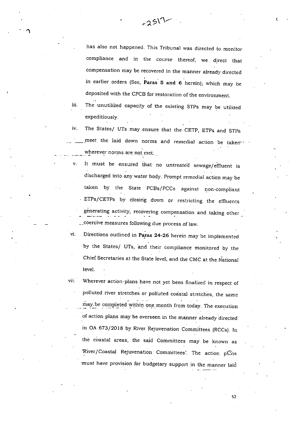has also not happened. This Tribunal was directed to monitor compliance and in the course thereof, we direct that compensation may be recovered in the manner already directed in earlier orders (See, Paras 5 and 6 herein); which may be deposited with the CPCB for restoration of the environment.

 $-2517$ 

iii.

--

 $\mathbf{\hat{a}}$ 

The unutilied capacity of the existing STPs may be utilized expeditiously.

The States/ UTs may ensure that the *CETP, ETPs* and STPs iv. - - meet the laid down norms and remedial action be taken--<br>wherever norms are not met.

- V. It must be ensured that no untreated sewage/effluent is discharged into any water body. Prompt remedial action may be taken by the State PCB5/PCCs against non-compliant *ETPs/CETP5* by closing down or restricting the effluents generating activity, recovering compensation and taking other . coercive measures following due process of law.
- Directions outlined in Paras 24-26 herein may be implemented vi. by the States/ UTs, and their compliance monitored by the Chief Secretaries at the State level, and the CMC at the National level.

Wherever action plans have not yet been finalized in respect of vii. polluted river stretches or polluted coastal stretches, the same may be completed within one month from today. The execution of action plans may be overseen in the manner already directed in OA 673/2018 by River Rejuvenation Committees (RCCs). In the coastal areas, the said Committees may be known as River/Coastal Rejuvenation Committees'. The action pluns must have provision for budgetary support in the manner laid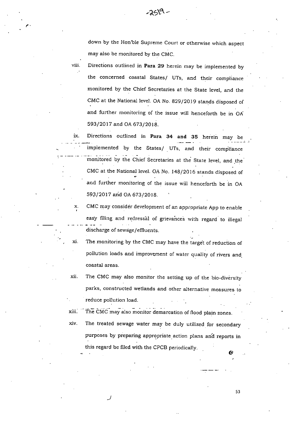down by the Hon'ble Supreme Court or otherwise which aspect may also be monitored by the CMC.

 $2519 -$ 

viii.

ix.

 $\mathcal{F}$ 

Directions outlined in Para 29 herein may be implemented by the concerned coastal States/ UTs, and their compliance monitored by the Chief Secretaries at the State level, and the CMC at the National level. OA No. 829/2019 stands disposed of and further monitoring of the issue will henceforth be in OA 593/2017 and OA 673/2018.

Directions outlined in *Para* 34 and 35 herein may be implemented by the States/ UTs, and their compliance monitored by the Chief Secretaries at the State level, and the CMC at the National level. OA No. 148/2016 stands disposed of and further monitoring of the issue will henceforth be in OA 593/2017 and OA 673/2018. <sup>1</sup>

X. CMC may consider development of an appropriate App to enable easy filing and redressal of grievances with regard to illegal discharge of sewage/effluents.

xi. The monitoring by the CMC may have the target of reduction of pollution loads and improvement of water quality of rivers and coastal areas.

The CMC may also monitor the setting up of the bio-divérsity xii. parks, constructed wetlands and other alternative measures to reduce pollution load. -

xiii. The CMC may also monitor demarcation of flood plain zones.

xiv. The treated sewage water may be duly utilized for secondary purposes by preparing appropriate action plans and reports in this regard be filed with the CPCB periodically. &

53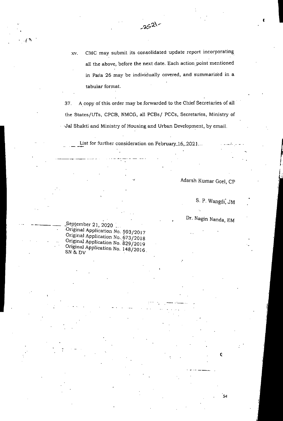xv. CMC may submit its consolidated update report incorporating all the above, before the next date. Each action point mentioned in Para 26 may be individually covered, and summarized in a tabular format.

 $-2521$ 

37. A copy of this order may be forwarded to the Chief Secretaries of all the States/UTs, CPCB, NMCG, all PCBs/ PCCs, Secretaries, Ministry of Jal Shakti and Ministry of Housing and Urban Development, by email.

U

List for further consideration on February 16, 2021...

Adarsh Kumar Goel, OP

S. P. Wangdi, JM

 $\epsilon$ 

.<br>54

- Dr. Nagin Nanda, EM

Original Application No. 593/2017 September 21, 2020 Original Application No.673/2018 Original Application No. 829/2019 Original Application No. 148/2016

--

 $\mathbf{I}$ 

 $\sqrt{1}$